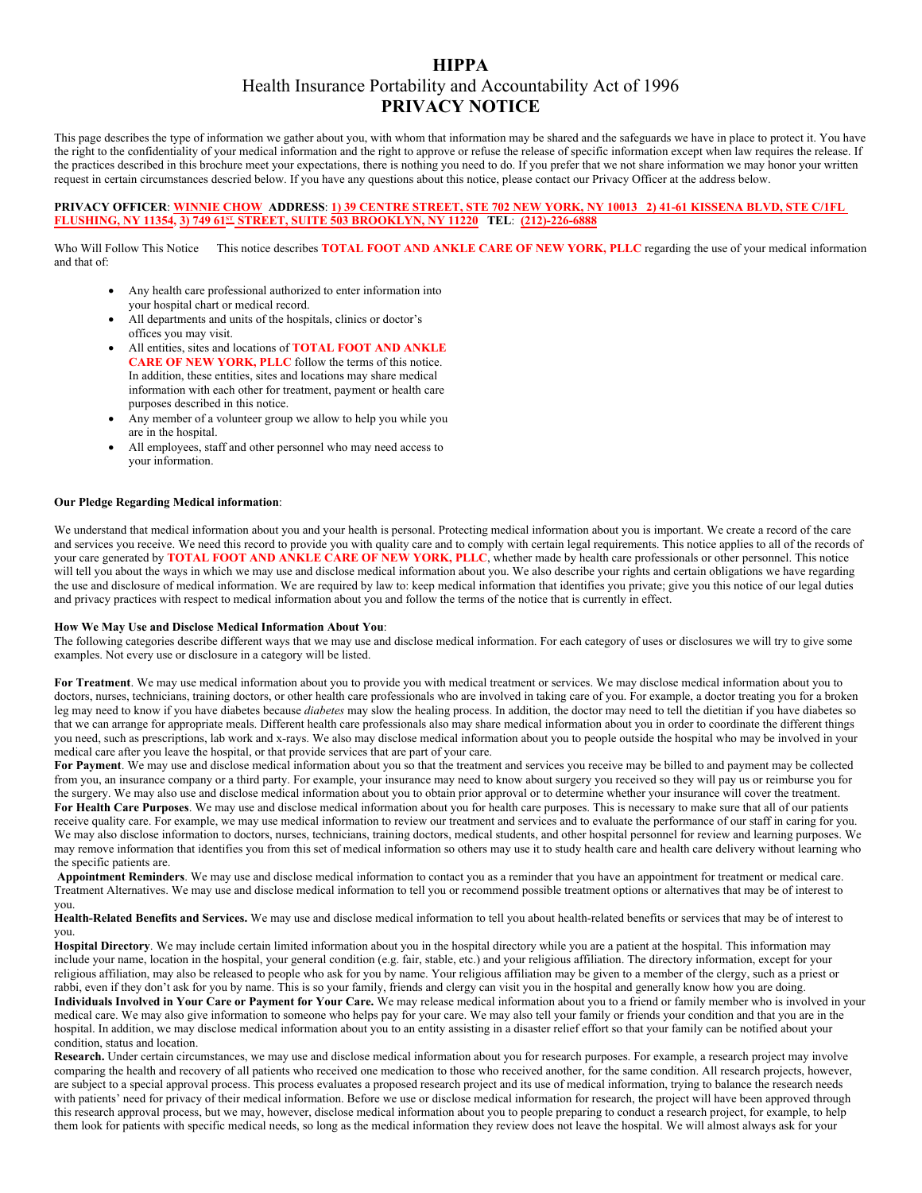# **HIPPA** Health Insurance Portability and Accountability Act of 1996 **PRIVACY NOTICE**

This page describes the type of information we gather about you, with whom that information may be shared and the safeguards we have in place to protect it. You have the right to the confidentiality of your medical information and the right to approve or refuse the release of specific information except when law requires the release. If the practices described in this brochure meet your expectations, there is nothing you need to do. If you prefer that we not share information we may honor your written request in certain circumstances descried below. If you have any questions about this notice, please contact our Privacy Officer at the address below.

## **PRIVACY OFFICER**: **WINNIE CHOW ADDRESS**: **1) 39 CENTRE STREET, STE 702 NEW YORK, NY 10013 2) 41-61 KISSENA BLVD, STE C/1FL FLUSHING, NY 11354, 3) 749 61ST STREET, SUITE 503 BROOKLYN, NY 11220 TEL**: **(212)-226-6888**

Who Will Follow This Notice This notice describes **TOTAL FOOT AND ANKLE CARE OF NEW YORK, PLLC** regarding the use of your medical information and that of:

- Any health care professional authorized to enter information into your hospital chart or medical record.
- All departments and units of the hospitals, clinics or doctor's offices you may visit.
- All entities, sites and locations of **TOTAL FOOT AND ANKLE CARE OF NEW YORK, PLLC** follow the terms of this notice. In addition, these entities, sites and locations may share medical information with each other for treatment, payment or health care purposes described in this notice.
- Any member of a volunteer group we allow to help you while you are in the hospital.
- All employees, staff and other personnel who may need access to your information.

## **Our Pledge Regarding Medical information**:

We understand that medical information about you and your health is personal. Protecting medical information about you is important. We create a record of the care and services you receive. We need this record to provide you with quality care and to comply with certain legal requirements. This notice applies to all of the records of your care generated by **TOTAL FOOT AND ANKLE CARE OF NEW YORK, PLLC**, whether made by health care professionals or other personnel. This notice will tell you about the ways in which we may use and disclose medical information about you. We also describe your rights and certain obligations we have regarding the use and disclosure of medical information. We are required by law to: keep medical information that identifies you private; give you this notice of our legal duties and privacy practices with respect to medical information about you and follow the terms of the notice that is currently in effect.

#### **How We May Use and Disclose Medical Information About You**:

The following categories describe different ways that we may use and disclose medical information. For each category of uses or disclosures we will try to give some examples. Not every use or disclosure in a category will be listed.

**For Treatment**. We may use medical information about you to provide you with medical treatment or services. We may disclose medical information about you to doctors, nurses, technicians, training doctors, or other health care professionals who are involved in taking care of you. For example, a doctor treating you for a broken leg may need to know if you have diabetes because *diabetes* may slow the healing process. In addition, the doctor may need to tell the dietitian if you have diabetes so that we can arrange for appropriate meals. Different health care professionals also may share medical information about you in order to coordinate the different things you need, such as prescriptions, lab work and x-rays. We also may disclose medical information about you to people outside the hospital who may be involved in your medical care after you leave the hospital, or that provide services that are part of your care.

**For Payment**. We may use and disclose medical information about you so that the treatment and services you receive may be billed to and payment may be collected from you, an insurance company or a third party. For example, your insurance may need to know about surgery you received so they will pay us or reimburse you for the surgery. We may also use and disclose medical information about you to obtain prior approval or to determine whether your insurance will cover the treatment. **For Health Care Purposes**. We may use and disclose medical information about you for health care purposes. This is necessary to make sure that all of our patients receive quality care. For example, we may use medical information to review our treatment and services and to evaluate the performance of our staff in caring for you. We may also disclose information to doctors, nurses, technicians, training doctors, medical students, and other hospital personnel for review and learning purposes. We may remove information that identifies you from this set of medical information so others may use it to study health care and health care delivery without learning who the specific patients are.

 **Appointment Reminders**. We may use and disclose medical information to contact you as a reminder that you have an appointment for treatment or medical care. Treatment Alternatives. We may use and disclose medical information to tell you or recommend possible treatment options or alternatives that may be of interest to you.

**Health-Related Benefits and Services.** We may use and disclose medical information to tell you about health-related benefits or services that may be of interest to you.

**Hospital Directory**. We may include certain limited information about you in the hospital directory while you are a patient at the hospital. This information may include your name, location in the hospital, your general condition (e.g. fair, stable, etc.) and your religious affiliation. The directory information, except for your religious affiliation, may also be released to people who ask for you by name. Your religious affiliation may be given to a member of the clergy, such as a priest or rabbi, even if they don't ask for you by name. This is so your family, friends and clergy can visit you in the hospital and generally know how you are doing. **Individuals Involved in Your Care or Payment for Your Care.** We may release medical information about you to a friend or family member who is involved in your medical care. We may also give information to someone who helps pay for your care. We may also tell your family or friends your condition and that you are in the hospital. In addition, we may disclose medical information about you to an entity assisting in a disaster relief effort so that your family can be notified about your condition, status and location.

**Research.** Under certain circumstances, we may use and disclose medical information about you for research purposes. For example, a research project may involve comparing the health and recovery of all patients who received one medication to those who received another, for the same condition. All research projects, however, are subject to a special approval process. This process evaluates a proposed research project and its use of medical information, trying to balance the research needs with patients' need for privacy of their medical information. Before we use or disclose medical information for research, the project will have been approved through this research approval process, but we may, however, disclose medical information about you to people preparing to conduct a research project, for example, to help them look for patients with specific medical needs, so long as the medical information they review does not leave the hospital. We will almost always ask for your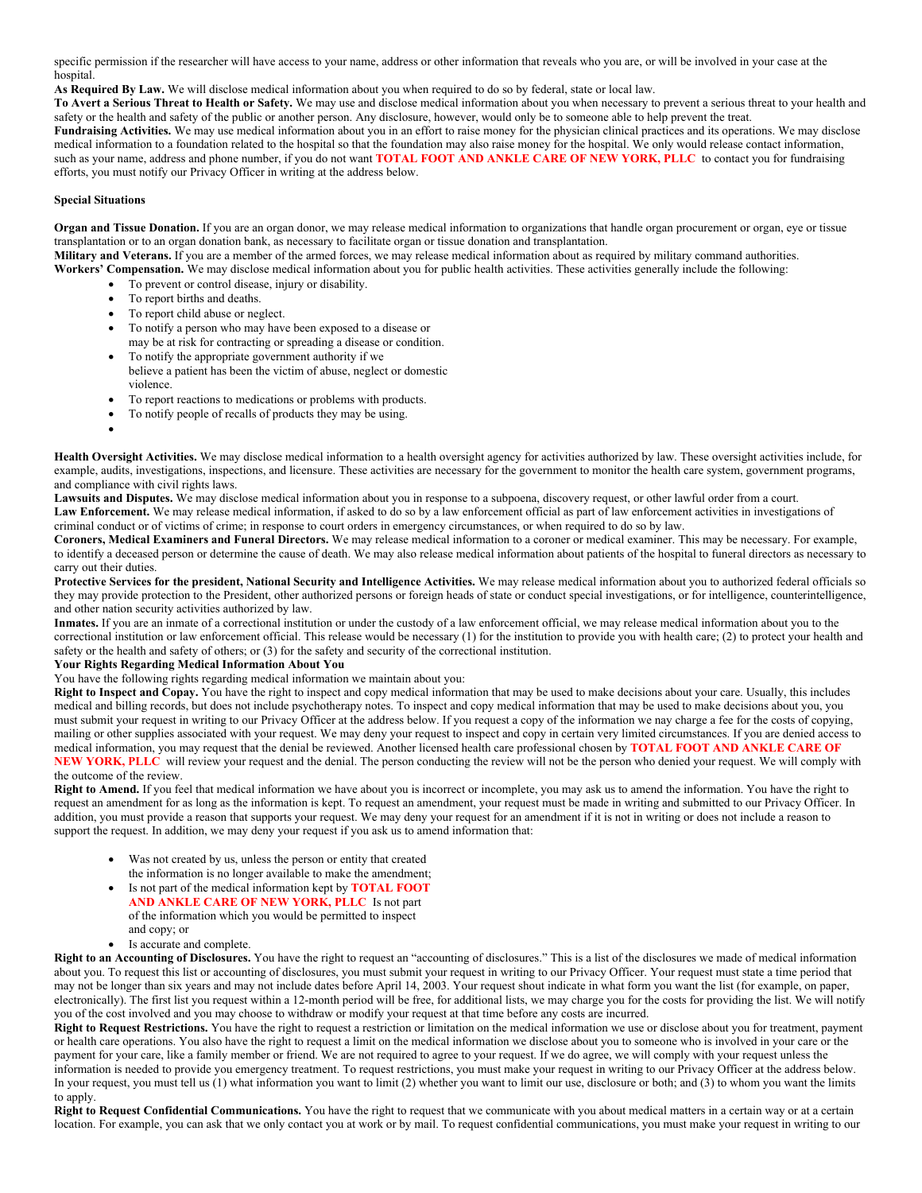specific permission if the researcher will have access to your name, address or other information that reveals who you are, or will be involved in your case at the hospital.

**As Required By Law.** We will disclose medical information about you when required to do so by federal, state or local law.

**To Avert a Serious Threat to Health or Safety.** We may use and disclose medical information about you when necessary to prevent a serious threat to your health and safety or the health and safety of the public or another person. Any disclosure, however, would only be to someone able to help prevent the treat.

**Fundraising Activities.** We may use medical information about you in an effort to raise money for the physician clinical practices and its operations. We may disclose medical information to a foundation related to the hospital so that the foundation may also raise money for the hospital. We only would release contact information, such as your name, address and phone number, if you do not want **TOTAL FOOT AND ANKLE CARE OF NEW YORK, PLLC** to contact you for fundraising efforts, you must notify our Privacy Officer in writing at the address below.

### **Special Situations**

**Organ and Tissue Donation.** If you are an organ donor, we may release medical information to organizations that handle organ procurement or organ, eye or tissue transplantation or to an organ donation bank, as necessary to facilitate organ or tissue donation and transplantation.

**Military and Veterans.** If you are a member of the armed forces, we may release medical information about as required by military command authorities.

- Workers' Compensation. We may disclose medical information about you for public health activities. These activities generally include the following:
	- To prevent or control disease, injury or disability.
	- To report births and deaths.

 $\bullet$  and  $\bullet$  and  $\bullet$  and  $\bullet$ 

- To report child abuse or neglect.
- To notify a person who may have been exposed to a disease or may be at risk for contracting or spreading a disease or condition.
- To notify the appropriate government authority if we believe a patient has been the victim of abuse, neglect or domestic violence.
- To report reactions to medications or problems with products.
- To notify people of recalls of products they may be using.

Health Oversight Activities. We may disclose medical information to a health oversight agency for activities authorized by law. These oversight activities include, for example, audits, investigations, inspections, and licensure. These activities are necessary for the government to monitor the health care system, government programs, and compliance with civil rights laws.

**Lawsuits and Disputes.** We may disclose medical information about you in response to a subpoena, discovery request, or other lawful order from a court. Law Enforcement. We may release medical information, if asked to do so by a law enforcement official as part of law enforcement activities in investigations of

criminal conduct or of victims of crime; in response to court orders in emergency circumstances, or when required to do so by law.

**Coroners, Medical Examiners and Funeral Directors.** We may release medical information to a coroner or medical examiner. This may be necessary. For example, to identify a deceased person or determine the cause of death. We may also release medical information about patients of the hospital to funeral directors as necessary to carry out their duties.

**Protective Services for the president, National Security and Intelligence Activities.** We may release medical information about you to authorized federal officials so they may provide protection to the President, other authorized persons or foreign heads of state or conduct special investigations, or for intelligence, counterintelligence, and other nation security activities authorized by law.

**Inmates.** If you are an inmate of a correctional institution or under the custody of a law enforcement official, we may release medical information about you to the correctional institution or law enforcement official. This release would be necessary (1) for the institution to provide you with health care; (2) to protect your health and safety or the health and safety of others; or (3) for the safety and security of the correctional institution.

#### **Your Rights Regarding Medical Information About You**

You have the following rights regarding medical information we maintain about you:

**Right to Inspect and Copay.** You have the right to inspect and copy medical information that may be used to make decisions about your care. Usually, this includes medical and billing records, but does not include psychotherapy notes. To inspect and copy medical information that may be used to make decisions about you, you must submit your request in writing to our Privacy Officer at the address below. If you request a copy of the information we nay charge a fee for the costs of copying, mailing or other supplies associated with your request. We may deny your request to inspect and copy in certain very limited circumstances. If you are denied access to medical information, you may request that the denial be reviewed. Another licensed health care professional chosen by **TOTAL FOOT AND ANKLE CARE OF NEW YORK, PLLC** will review your request and the denial. The person conducting the review will not be the person who denied your request. We will comply with the outcome of the review.

**Right to Amend.** If you feel that medical information we have about you is incorrect or incomplete, you may ask us to amend the information. You have the right to request an amendment for as long as the information is kept. To request an amendment, your request must be made in writing and submitted to our Privacy Officer. In addition, you must provide a reason that supports your request. We may deny your request for an amendment if it is not in writing or does not include a reason to support the request. In addition, we may deny your request if you ask us to amend information that:

- Was not created by us, unless the person or entity that created the information is no longer available to make the amendment;
- Is not part of the medical information kept by **TOTAL FOOT AND ANKLE CARE OF NEW YORK, PLLC** Is not part of the information which you would be permitted to inspect and copy; or
- Is accurate and complete.

**Right to an Accounting of Disclosures.** You have the right to request an "accounting of disclosures." This is a list of the disclosures we made of medical information about you. To request this list or accounting of disclosures, you must submit your request in writing to our Privacy Officer. Your request must state a time period that may not be longer than six years and may not include dates before April 14, 2003. Your request shout indicate in what form you want the list (for example, on paper, electronically). The first list you request within a 12-month period will be free, for additional lists, we may charge you for the costs for providing the list. We will notify you of the cost involved and you may choose to withdraw or modify your request at that time before any costs are incurred.

**Right to Request Restrictions.** You have the right to request a restriction or limitation on the medical information we use or disclose about you for treatment, payment or health care operations. You also have the right to request a limit on the medical information we disclose about you to someone who is involved in your care or the payment for your care, like a family member or friend. We are not required to agree to your request. If we do agree, we will comply with your request unless the information is needed to provide you emergency treatment. To request restrictions, you must make your request in writing to our Privacy Officer at the address below. In your request, you must tell us (1) what information you want to limit (2) whether you want to limit our use, disclosure or both; and (3) to whom you want the limits to apply.

Right to Request Confidential Communications. You have the right to request that we communicate with you about medical matters in a certain way or at a certain location. For example, you can ask that we only contact you at work or by mail. To request confidential communications, you must make your request in writing to our